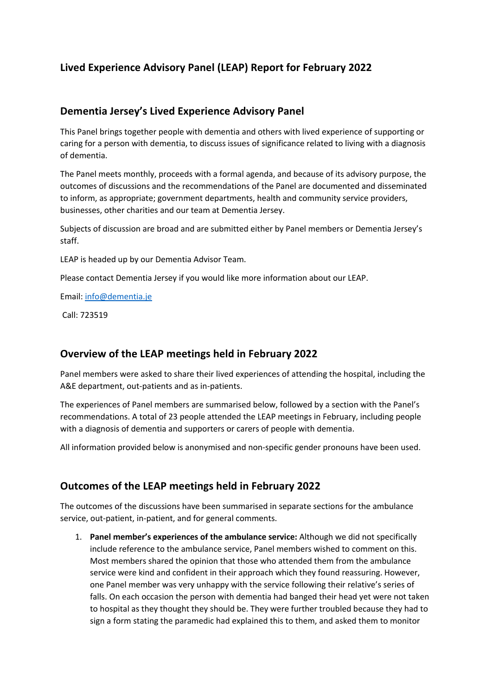# **Lived Experience Advisory Panel (LEAP) Report for February 2022**

### **Dementia Jersey's Lived Experience Advisory Panel**

This Panel brings together people with dementia and others with lived experience of supporting or caring for a person with dementia, to discuss issues of significance related to living with a diagnosis of dementia.

The Panel meets monthly, proceeds with a formal agenda, and because of its advisory purpose, the outcomes of discussions and the recommendations of the Panel are documented and disseminated to inform, as appropriate; government departments, health and community service providers, businesses, other charities and our team at Dementia Jersey.

Subjects of discussion are broad and are submitted either by Panel members or Dementia Jersey's staff.

LEAP is headed up by our Dementia Advisor Team.

Please contact Dementia Jersey if you would like more information about our LEAP.

Email: info@dementia.je

Call: 723519

## **Overview of the LEAP meetings held in February 2022**

Panel members were asked to share their lived experiences of attending the hospital, including the A&E department, out-patients and as in-patients.

The experiences of Panel members are summarised below, followed by a section with the Panel's recommendations. A total of 23 people attended the LEAP meetings in February, including people with a diagnosis of dementia and supporters or carers of people with dementia.

All information provided below is anonymised and non-specific gender pronouns have been used.

## **Outcomes of the LEAP meetings held in February 2022**

The outcomes of the discussions have been summarised in separate sections for the ambulance service, out-patient, in-patient, and for general comments.

1. **Panel member's experiences of the ambulance service:** Although we did not specifically include reference to the ambulance service, Panel members wished to comment on this. Most members shared the opinion that those who attended them from the ambulance service were kind and confident in their approach which they found reassuring. However, one Panel member was very unhappy with the service following their relative's series of falls. On each occasion the person with dementia had banged their head yet were not taken to hospital as they thought they should be. They were further troubled because they had to sign a form stating the paramedic had explained this to them, and asked them to monitor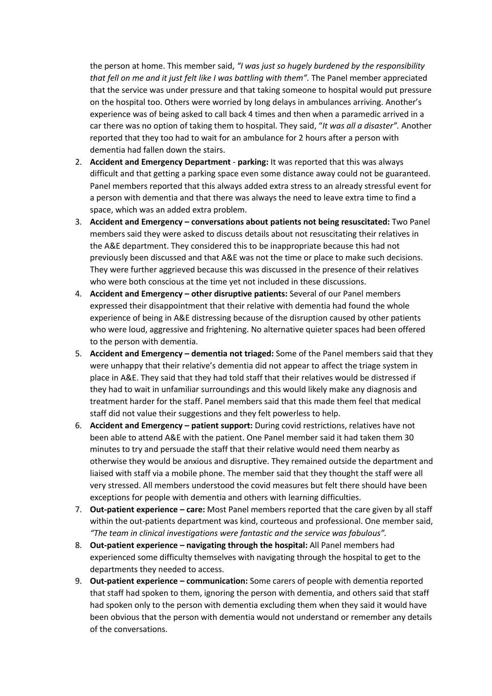the person at home. This member said, *"I was just so hugely burdened by the responsibility that fell on me and it just felt like I was battling with them".* The Panel member appreciated that the service was under pressure and that taking someone to hospital would put pressure on the hospital too. Others were worried by long delays in ambulances arriving. Another's experience was of being asked to call back 4 times and then when a paramedic arrived in a car there was no option of taking them to hospital. They said, "*It was all a disaster".* Another reported that they too had to wait for an ambulance for 2 hours after a person with dementia had fallen down the stairs.

- 2. **Accident and Emergency Department parking:** It was reported that this was always difficult and that getting a parking space even some distance away could not be guaranteed. Panel members reported that this always added extra stress to an already stressful event for a person with dementia and that there was always the need to leave extra time to find a space, which was an added extra problem.
- 3. **Accident and Emergency – conversations about patients not being resuscitated:** Two Panel members said they were asked to discuss details about not resuscitating their relatives in the A&E department. They considered this to be inappropriate because this had not previously been discussed and that A&E was not the time or place to make such decisions. They were further aggrieved because this was discussed in the presence of their relatives who were both conscious at the time yet not included in these discussions.
- 4. **Accident and Emergency – other disruptive patients:** Several of our Panel members expressed their disappointment that their relative with dementia had found the whole experience of being in A&E distressing because of the disruption caused by other patients who were loud, aggressive and frightening. No alternative quieter spaces had been offered to the person with dementia.
- 5. **Accident and Emergency – dementia not triaged:** Some of the Panel members said that they were unhappy that their relative's dementia did not appear to affect the triage system in place in A&E. They said that they had told staff that their relatives would be distressed if they had to wait in unfamiliar surroundings and this would likely make any diagnosis and treatment harder for the staff. Panel members said that this made them feel that medical staff did not value their suggestions and they felt powerless to help.
- 6. **Accident and Emergency – patient support:** During covid restrictions, relatives have not been able to attend A&E with the patient. One Panel member said it had taken them 30 minutes to try and persuade the staff that their relative would need them nearby as otherwise they would be anxious and disruptive. They remained outside the department and liaised with staff via a mobile phone. The member said that they thought the staff were all very stressed. All members understood the covid measures but felt there should have been exceptions for people with dementia and others with learning difficulties.
- 7. **Out-patient experience – care:** Most Panel members reported that the care given by all staff within the out-patients department was kind, courteous and professional. One member said, *"The team in clinical investigations were fantastic and the service was fabulous".*
- 8. **Out-patient experience – navigating through the hospital:** All Panel members had experienced some difficulty themselves with navigating through the hospital to get to the departments they needed to access.
- 9. **Out-patient experience – communication:** Some carers of people with dementia reported that staff had spoken to them, ignoring the person with dementia, and others said that staff had spoken only to the person with dementia excluding them when they said it would have been obvious that the person with dementia would not understand or remember any details of the conversations.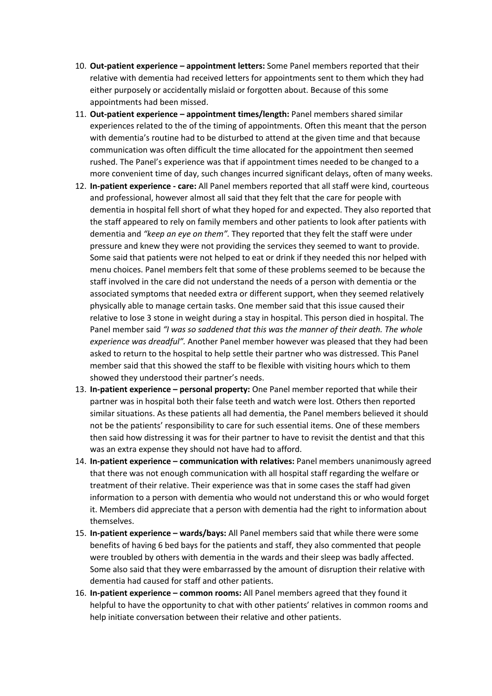- 10. **Out-patient experience – appointment letters:** Some Panel members reported that their relative with dementia had received letters for appointments sent to them which they had either purposely or accidentally mislaid or forgotten about. Because of this some appointments had been missed.
- 11. **Out-patient experience – appointment times/length:** Panel members shared similar experiences related to the of the timing of appointments. Often this meant that the person with dementia's routine had to be disturbed to attend at the given time and that because communication was often difficult the time allocated for the appointment then seemed rushed. The Panel's experience was that if appointment times needed to be changed to a more convenient time of day, such changes incurred significant delays, often of many weeks.
- 12. **In-patient experience - care:** All Panel members reported that all staff were kind, courteous and professional, however almost all said that they felt that the care for people with dementia in hospital fell short of what they hoped for and expected. They also reported that the staff appeared to rely on family members and other patients to look after patients with dementia and *"keep an eye on them".* They reported that they felt the staff were under pressure and knew they were not providing the services they seemed to want to provide. Some said that patients were not helped to eat or drink if they needed this nor helped with menu choices. Panel members felt that some of these problems seemed to be because the staff involved in the care did not understand the needs of a person with dementia or the associated symptoms that needed extra or different support, when they seemed relatively physically able to manage certain tasks. One member said that this issue caused their relative to lose 3 stone in weight during a stay in hospital. This person died in hospital. The Panel member said *"I was so saddened that this was the manner of their death. The whole experience was dreadful".* Another Panel member however was pleased that they had been asked to return to the hospital to help settle their partner who was distressed. This Panel member said that this showed the staff to be flexible with visiting hours which to them showed they understood their partner's needs.
- 13. **In-patient experience – personal property:** One Panel member reported that while their partner was in hospital both their false teeth and watch were lost. Others then reported similar situations. As these patients all had dementia, the Panel members believed it should not be the patients' responsibility to care for such essential items. One of these members then said how distressing it was for their partner to have to revisit the dentist and that this was an extra expense they should not have had to afford.
- 14. **In-patient experience – communication with relatives:** Panel members unanimously agreed that there was not enough communication with all hospital staff regarding the welfare or treatment of their relative. Their experience was that in some cases the staff had given information to a person with dementia who would not understand this or who would forget it. Members did appreciate that a person with dementia had the right to information about themselves.
- 15. **In-patient experience – wards/bays:** All Panel members said that while there were some benefits of having 6 bed bays for the patients and staff, they also commented that people were troubled by others with dementia in the wards and their sleep was badly affected. Some also said that they were embarrassed by the amount of disruption their relative with dementia had caused for staff and other patients.
- 16. **In-patient experience – common rooms:** All Panel members agreed that they found it helpful to have the opportunity to chat with other patients' relatives in common rooms and help initiate conversation between their relative and other patients.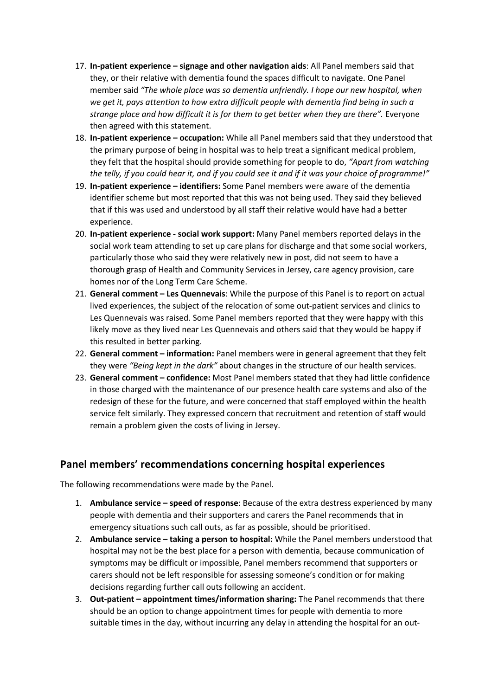- 17. **In-patient experience – signage and other navigation aids**: All Panel members said that they, or their relative with dementia found the spaces difficult to navigate. One Panel member said *"The whole place was so dementia unfriendly. I hope our new hospital, when we get it, pays attention to how extra difficult people with dementia find being in such a strange place and how difficult it is for them to get better when they are there".* Everyone then agreed with this statement.
- 18. **In-patient experience – occupation:** While all Panel members said that they understood that the primary purpose of being in hospital was to help treat a significant medical problem, they felt that the hospital should provide something for people to do, *"Apart from watching the telly, if you could hear it, and if you could see it and if it was your choice of programme!"*
- 19. **In-patient experience – identifiers:** Some Panel members were aware of the dementia identifier scheme but most reported that this was not being used. They said they believed that if this was used and understood by all staff their relative would have had a better experience.
- 20. **In-patient experience - social work support:** Many Panel members reported delays in the social work team attending to set up care plans for discharge and that some social workers, particularly those who said they were relatively new in post, did not seem to have a thorough grasp of Health and Community Services in Jersey, care agency provision, care homes nor of the Long Term Care Scheme.
- 21. **General comment – Les Quennevais**: While the purpose of this Panel is to report on actual lived experiences, the subject of the relocation of some out-patient services and clinics to Les Quennevais was raised. Some Panel members reported that they were happy with this likely move as they lived near Les Quennevais and others said that they would be happy if this resulted in better parking.
- 22. **General comment – information:** Panel members were in general agreement that they felt they were *"Being kept in the dark"* about changes in the structure of our health services.
- 23. **General comment – confidence:** Most Panel members stated that they had little confidence in those charged with the maintenance of our presence health care systems and also of the redesign of these for the future, and were concerned that staff employed within the health service felt similarly. They expressed concern that recruitment and retention of staff would remain a problem given the costs of living in Jersey.

## **Panel members' recommendations concerning hospital experiences**

The following recommendations were made by the Panel.

- 1. **Ambulance service – speed of response**: Because of the extra destress experienced by many people with dementia and their supporters and carers the Panel recommends that in emergency situations such call outs, as far as possible, should be prioritised.
- 2. **Ambulance service – taking a person to hospital:** While the Panel members understood that hospital may not be the best place for a person with dementia, because communication of symptoms may be difficult or impossible, Panel members recommend that supporters or carers should not be left responsible for assessing someone's condition or for making decisions regarding further call outs following an accident.
- 3. **Out-patient – appointment times/information sharing:** The Panel recommends that there should be an option to change appointment times for people with dementia to more suitable times in the day, without incurring any delay in attending the hospital for an out-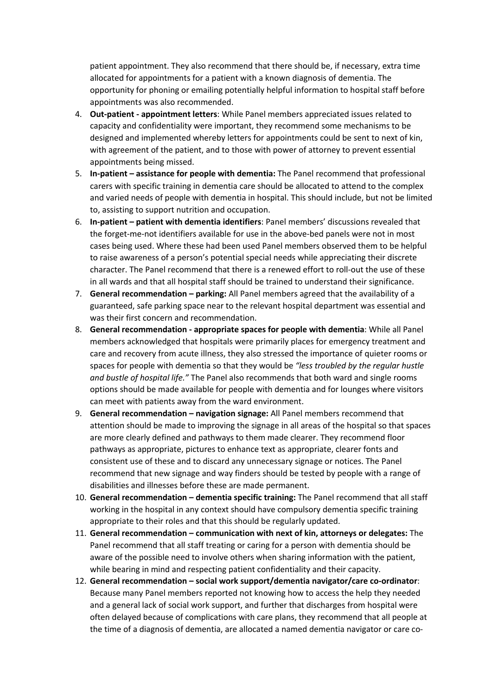patient appointment. They also recommend that there should be, if necessary, extra time allocated for appointments for a patient with a known diagnosis of dementia. The opportunity for phoning or emailing potentially helpful information to hospital staff before appointments was also recommended.

- 4. **Out-patient - appointment letters**: While Panel members appreciated issues related to capacity and confidentiality were important, they recommend some mechanisms to be designed and implemented whereby letters for appointments could be sent to next of kin, with agreement of the patient, and to those with power of attorney to prevent essential appointments being missed.
- 5. **In-patient – assistance for people with dementia:** The Panel recommend that professional carers with specific training in dementia care should be allocated to attend to the complex and varied needs of people with dementia in hospital. This should include, but not be limited to, assisting to support nutrition and occupation.
- 6. **In-patient – patient with dementia identifiers**: Panel members' discussions revealed that the forget-me-not identifiers available for use in the above-bed panels were not in most cases being used. Where these had been used Panel members observed them to be helpful to raise awareness of a person's potential special needs while appreciating their discrete character. The Panel recommend that there is a renewed effort to roll-out the use of these in all wards and that all hospital staff should be trained to understand their significance.
- 7. **General recommendation – parking:** All Panel members agreed that the availability of a guaranteed, safe parking space near to the relevant hospital department was essential and was their first concern and recommendation.
- 8. **General recommendation - appropriate spaces for people with dementia**: While all Panel members acknowledged that hospitals were primarily places for emergency treatment and care and recovery from acute illness, they also stressed the importance of quieter rooms or spaces for people with dementia so that they would be *"less troubled by the regular hustle and bustle of hospital life."* The Panel also recommends that both ward and single rooms options should be made available for people with dementia and for lounges where visitors can meet with patients away from the ward environment.
- 9. **General recommendation – navigation signage:** All Panel members recommend that attention should be made to improving the signage in all areas of the hospital so that spaces are more clearly defined and pathways to them made clearer. They recommend floor pathways as appropriate, pictures to enhance text as appropriate, clearer fonts and consistent use of these and to discard any unnecessary signage or notices. The Panel recommend that new signage and way finders should be tested by people with a range of disabilities and illnesses before these are made permanent.
- 10. **General recommendation – dementia specific training:** The Panel recommend that all staff working in the hospital in any context should have compulsory dementia specific training appropriate to their roles and that this should be regularly updated.
- 11. **General recommendation – communication with next of kin, attorneys or delegates:** The Panel recommend that all staff treating or caring for a person with dementia should be aware of the possible need to involve others when sharing information with the patient, while bearing in mind and respecting patient confidentiality and their capacity.
- 12. **General recommendation – social work support/dementia navigator/care co-ordinator**: Because many Panel members reported not knowing how to access the help they needed and a general lack of social work support, and further that discharges from hospital were often delayed because of complications with care plans, they recommend that all people at the time of a diagnosis of dementia, are allocated a named dementia navigator or care co-